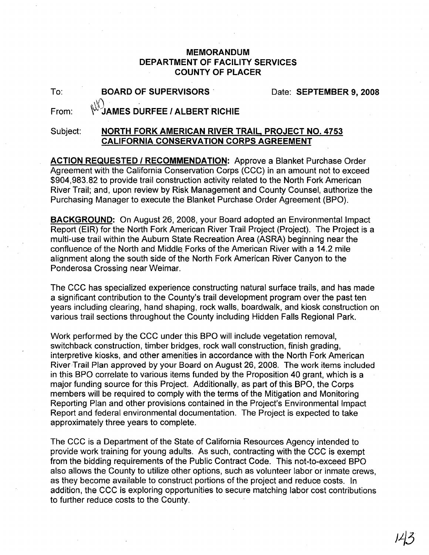## **MEMORANDUM DEPARTMENT OF FACILITY SERVICES COUNTY OF PLACER**

To:

Date: **SEPTEMBER 9, 2008**

From:

~~1AMES **D'URFEE I ALBERT RICHIE**

**BOARD OF SUPERVISORS'**

## Subject: **NORTH FORK AMERICAN RIVER TRAIL, PROJECT NO. 4753 CALIFORNIA CONSERVATION CORPS AGREEMENT**

**ACTION REQUESTED I RECOMMENDATION:** Approve a Blanket Purchase Order Agreement with the California Conservation Corps (CCC) in an amount not to exceed \$904,983.82 to provide trail construction activity related to the North Fork American River Trail; and, upon review by Risk Management and County Counsel, authorize the Purchasing Manager to execute the Blanket Purchase Order Agreement (BPO).

**BACKGROUND:** On August 26, 2008, your Board adopted an Environmental Impact Report (EIR) for the North Fork American River Trail Project (Project). The Project is a multi-use trail within the Auburn State Recreation Area (ASRA) beginning near the confluence of the North and Middle Forks of the American River with a 14.2 mile alignment along the south side of the North Fork American River Canyon to the Ponderosa Crossing near Weimar.

The CCC has specialized experience constructing natural surface trails, and has made a significant contribution to the County's trail development program over the past ten years including clearing, hand shaping, rock walls, boardwalk, and kiosk construction on various trail sections throughout the County including Hidden Falls Regional Park.

Work performed by the CCC under this BPO will include vegetation removal, switchback construction, timber bridges, rock wall construction, finish grading, interpretive kiosks, and other amenities in accordance with the North Fork American River Trail Plan approved by your Board on August 26, 2008. The work items included in this BPO correlate to various items funded by the Proposition 40 grant, which is a major funding source for this Project. Additionally, as part of this BPO, the Corps members will be required to comply with the terms of the Mitigation and Monitoring Reporting Plan and other provisions contained in the Project's Environmental Impact Report and federal environmental documentation. The Project is expected to take approximately three years to complete.

The CCC is a Department of the State of California Resources Agency intended to provide work training for young adults. As such, contracting with the CCC is exempt from the bidding requirements of the Public Contract Code. This not-to-exceed BPO also allows the County to utilize other options, such as volunteer labor or inmate crews, as they become available to construct portions of the project and reduce costs. In addition, the CCC is exploring opportunities to secure matching labor cost contributions to further reduce costs to the County.